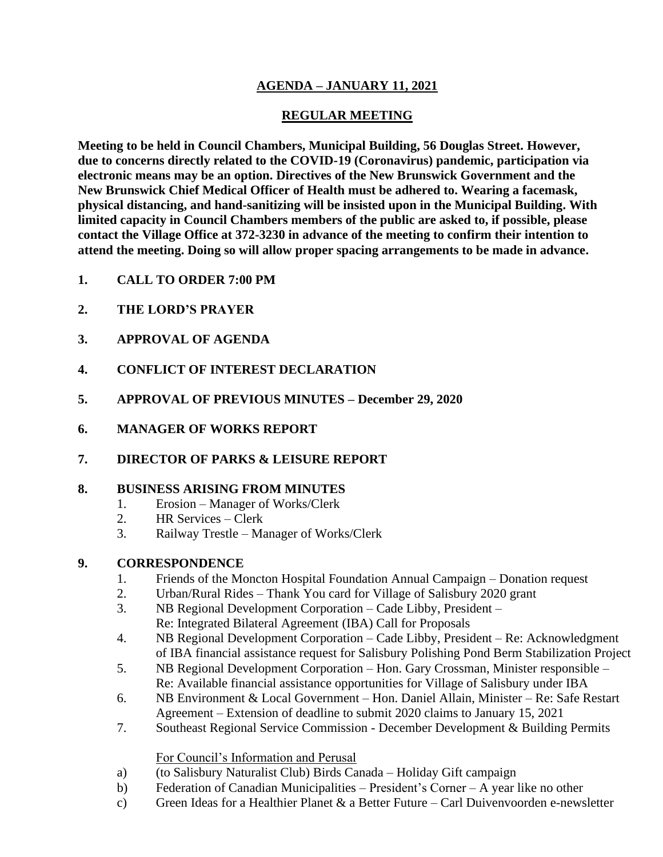# **AGENDA – JANUARY 11, 2021**

## **REGULAR MEETING**

**Meeting to be held in Council Chambers, Municipal Building, 56 Douglas Street. However, due to concerns directly related to the COVID-19 (Coronavirus) pandemic, participation via electronic means may be an option. Directives of the New Brunswick Government and the New Brunswick Chief Medical Officer of Health must be adhered to. Wearing a facemask, physical distancing, and hand-sanitizing will be insisted upon in the Municipal Building. With limited capacity in Council Chambers members of the public are asked to, if possible, please contact the Village Office at 372-3230 in advance of the meeting to confirm their intention to attend the meeting. Doing so will allow proper spacing arrangements to be made in advance.**

- **1. CALL TO ORDER 7:00 PM**
- **2. THE LORD'S PRAYER**
- **3. APPROVAL OF AGENDA**
- **4. CONFLICT OF INTEREST DECLARATION**
- **5. APPROVAL OF PREVIOUS MINUTES – December 29, 2020**
- **6. MANAGER OF WORKS REPORT**
- **7. DIRECTOR OF PARKS & LEISURE REPORT**

## **8. BUSINESS ARISING FROM MINUTES**

- 1. Erosion Manager of Works/Clerk
- 2. HR Services Clerk
- 3. Railway Trestle Manager of Works/Clerk

## **9. CORRESPONDENCE**

- 1. Friends of the Moncton Hospital Foundation Annual Campaign Donation request
- 2. Urban/Rural Rides Thank You card for Village of Salisbury 2020 grant
- 3. NB Regional Development Corporation Cade Libby, President Re: Integrated Bilateral Agreement (IBA) Call for Proposals
- 4. NB Regional Development Corporation Cade Libby, President Re: Acknowledgment of IBA financial assistance request for Salisbury Polishing Pond Berm Stabilization Project
- 5. NB Regional Development Corporation Hon. Gary Crossman, Minister responsible Re: Available financial assistance opportunities for Village of Salisbury under IBA
- 6. NB Environment & Local Government Hon. Daniel Allain, Minister Re: Safe Restart Agreement – Extension of deadline to submit 2020 claims to January 15, 2021
- 7. Southeast Regional Service Commission December Development & Building Permits

#### For Council's Information and Perusal

- a) (to Salisbury Naturalist Club) Birds Canada Holiday Gift campaign
- b) Federation of Canadian Municipalities President's Corner A year like no other
- c) Green Ideas for a Healthier Planet  $\&$  a Better Future Carl Duivenvoorden e-newsletter